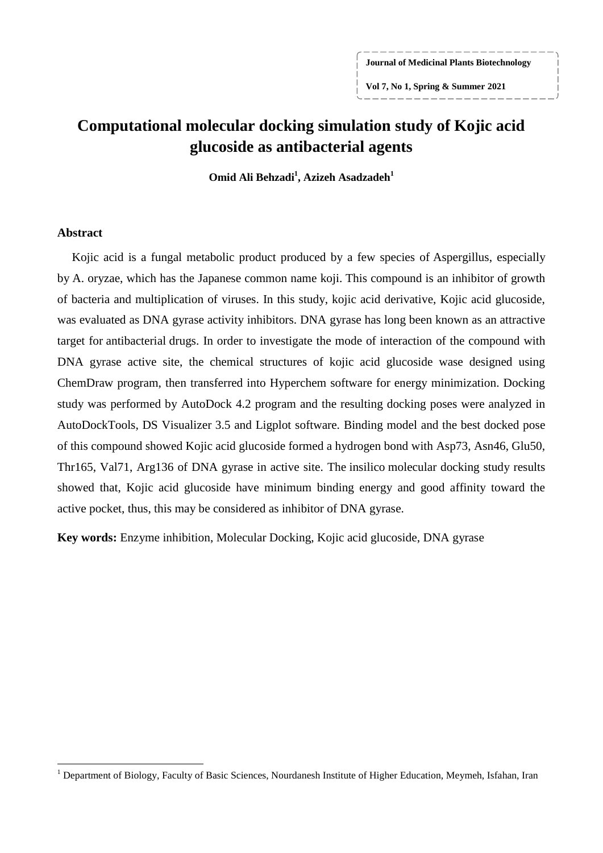**Journal of Medicinal Plants Biotechnology**

**Vol 7, No 1, Spring & Summer 2021**

# **[Computational molecular docking simulation study of Kojic acid](https://www.x-mol.com/paperRedirect/5928177)  [glucoside as antibacterial agents](https://www.x-mol.com/paperRedirect/5928177)**

**Omid Ali Behzadi<sup>1</sup> , Azizeh Asadzadeh<sup>1</sup>**

### **Abstract**

 $\overline{a}$ 

Kojic acid is a fungal metabolic product produced by a few species of [Aspergillus,](https://www.sciencedirect.com/topics/immunology-and-microbiology/aspergillus) especially by A. oryzae, which has the Japanese common name koji. This compound is an inhibitor of growth of bacteria and multiplication of viruses. In this study, kojic acid derivative, Kojic acid glucoside, was evaluated as DNA gyrase activity inhibitors. DNA gyrase has long been known as an attractive target for antibacterial drugs. In order to investigate the mode of interaction of the compound with DNA gyrase active site, the chemical structures of kojic acid glucoside wase designed using ChemDraw program, then transferred into Hyperchem software for energy minimization. Docking study was performed by AutoDock 4.2 program and the resulting docking poses were analyzed in AutoDockTools, DS Visualizer 3.5 and Ligplot software. Binding model and the best docked pose of this compound showed Kojic acid glucoside formed a hydrogen bond with Asp73, Asn46, Glu50, Thr165, Val71, Arg136 of DNA gyrase in active site. The insilico molecular docking study results showed that, Kojic acid glucoside have minimum binding energy and good affinity toward the active pocket, thus, this may be considered as inhibitor of DNA gyrase.

**Key words:** Enzyme inhibition, Molecular Docking, Kojic acid glucoside, DNA gyrase

<sup>&</sup>lt;sup>1</sup> Department of Biology, Faculty of Basic Sciences, Nourdanesh Institute of Higher Education, Meymeh, Isfahan, Iran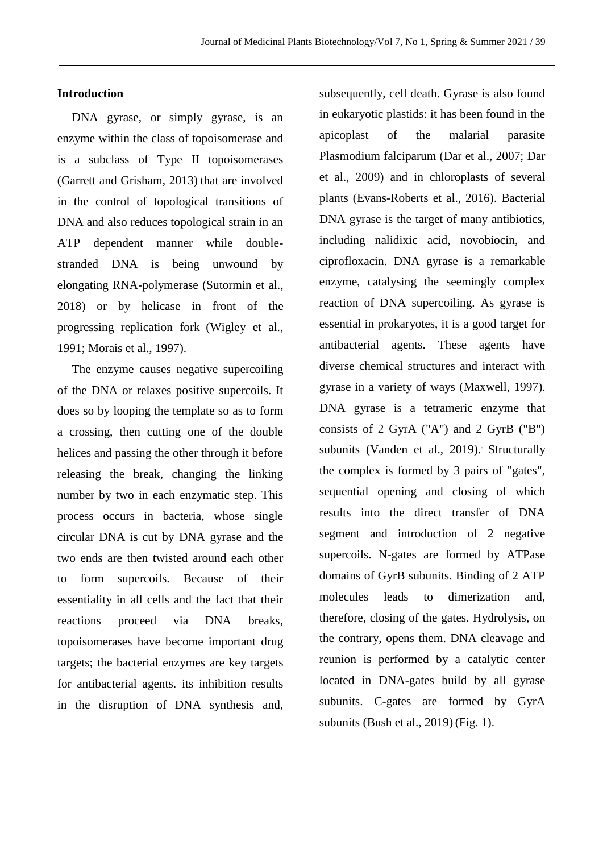## **Introduction**

DNA gyrase, or simply gyrase, is an enzyme within the class of topoisomerase and is a subclass of Type II topoisomerases (Garrett and Grisham, 2013) that are involved in the control of topological transitions of DNA and also reduces topological strain in an ATP dependent manner while doublestranded DNA is being unwound by elongating RNA-polymerase (Sutormin et al., 2018) or by helicase in front of the progressing replication fork (Wigley et al., 1991; Morais et al., 1997).

The enzyme causes negative supercoiling of the DNA or relaxes positive supercoils. It does so by looping the template so as to form a crossing, then cutting one of the double helices and passing the other through it before releasing the break, changing the linking number by two in each enzymatic step. This process occurs in bacteria, whose single circular DNA is cut by DNA gyrase and the two ends are then twisted around each other to form supercoils. Because of their essentiality in all cells and the fact that their reactions proceed via DNA breaks, topoisomerases have become important drug targets; the bacterial enzymes are key targets for antibacterial agents. its inhibition results in the disruption of DNA synthesis and,

subsequently, cell death. Gyrase is also found in eukaryotic plastids: it has been found in the apicoplast of the malarial parasite Plasmodium falciparum (Dar et al., 2007; Dar et al., 2009) and in chloroplasts of several plants (Evans-Roberts et al., 2016). Bacterial DNA gyrase is the target of many antibiotics, including nalidixic acid, novobiocin, and ciprofloxacin. DNA gyrase is a remarkable enzyme, catalysing the seemingly complex reaction of DNA supercoiling. As gyrase is essential in prokaryotes, it is a good target for antibacterial agents. These agents have diverse chemical structures and interact with gyrase in a variety of ways (Maxwell, 1997). DNA gyrase is a tetrameric enzyme that consists of 2 GyrA ("A") and 2 GyrB ("B") subunits (Vanden et al., 2019). Structurally the complex is formed by 3 pairs of "gates", sequential opening and closing of which results into the direct transfer of DNA segment and introduction of 2 negative supercoils. N-gates are formed by ATPase domains of GyrB subunits. Binding of 2 ATP molecules leads to dimerization and, therefore, closing of the gates. Hydrolysis, on the contrary, opens them. DNA cleavage and reunion is performed by a catalytic center located in DNA-gates build by all gyrase subunits. C-gates are formed by GyrA subunits (Bush et al., 2019) (Fig. 1).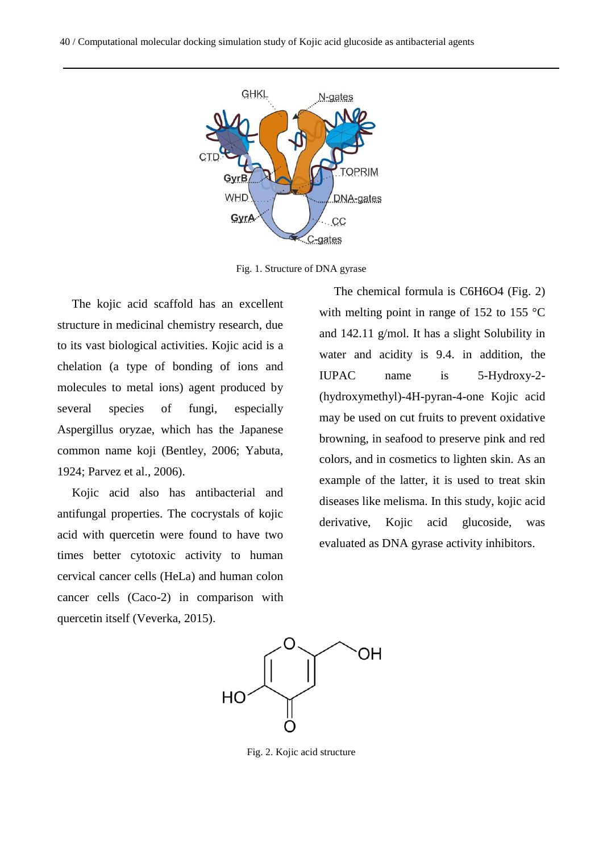40 / Computational molecular docking simulation study of Kojic acid glucoside as antibacterial agents



Fig. 1. Structure of DNA gyrase

The kojic acid scaffold has an excellent structure in medicinal chemistry research, due to its vast biological activities. Kojic acid is a chelation (a type of bonding of ions and molecules to metal ions) agent produced by several species of fungi, especially Aspergillus oryzae, which has the Japanese common name koji (Bentley, 2006; Yabuta, 1924; Parvez et al., 2006).

Kojic acid also has antibacterial and antifungal properties. The cocrystals of kojic acid with quercetin were found to have two times better cytotoxic activity to human cervical cancer cells (HeLa) and human colon cancer cells (Caco-2) in comparison with quercetin itself (Veverka, 2015).

The chemical formula is C6H6O4 (Fig. 2) with melting point in range of 152 to 155  $\degree$ C and 142.11 g/mol. It has a slight Solubility in water and acidity is 9.4. in addition, the IUPAC name is 5-Hydroxy-2- (hydroxymethyl)-4H-pyran-4-one Kojic acid may be used on cut fruits to prevent oxidative browning, in seafood to preserve pink and red colors, and in cosmetics to lighten skin. As an example of the latter, it is used to treat skin diseases like melisma. In this study, kojic acid derivative, Kojic acid glucoside, was evaluated as DNA gyrase activity inhibitors.



Fig. 2. Kojic acid structure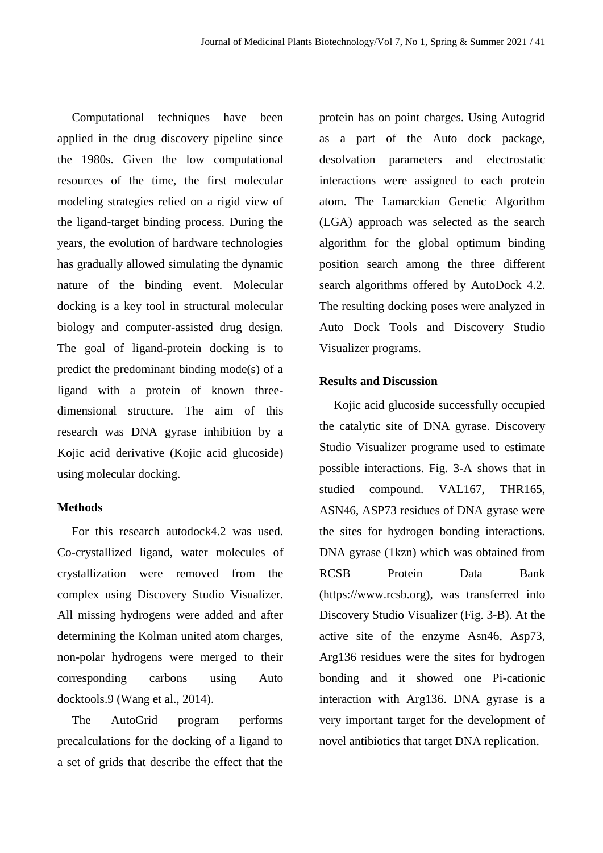Computational techniques have been applied in the drug discovery pipeline since the 1980s. Given the low computational resources of the time, the first molecular modeling strategies relied on a rigid view of the ligand-target binding process. During the years, the evolution of hardware technologies has gradually allowed simulating the dynamic nature of the binding event. Molecular docking is a key tool in structural molecular biology and computer-assisted drug design. The goal of ligand-protein docking is to predict the predominant binding mode(s) of a ligand with a protein of known threedimensional structure. The aim of this research was DNA gyrase inhibition by a Kojic acid derivative (Kojic acid glucoside) using molecular docking.

# **Methods**

For this research autodock4.2 was used. Co-crystallized ligand, water molecules of crystallization were removed from the complex using Discovery Studio Visualizer. All missing hydrogens were added and after determining the Kolman united atom charges, non-polar hydrogens were merged to their corresponding carbons using Auto docktools.9 (Wang et al., 2014).

The AutoGrid program performs precalculations for the docking of a ligand to a set of grids that describe the effect that the protein has on point charges. Using Autogrid as a part of the Auto dock package, desolvation parameters and electrostatic interactions were assigned to each protein atom. The Lamarckian Genetic Algorithm (LGA) approach was selected as the search algorithm for the global optimum binding position search among the three different search algorithms offered by AutoDock 4.2. The resulting docking poses were analyzed in Auto Dock Tools and Discovery Studio Visualizer programs.

#### **Results and Discussion**

Kojic acid glucoside successfully occupied the catalytic site of DNA gyrase. Discovery Studio Visualizer programe used to estimate possible interactions. Fig. 3-A shows that in studied compound. VAL167, THR165, ASN46, ASP73 residues of DNA gyrase were the sites for hydrogen bonding interactions. DNA gyrase (1kzn) which was obtained from RCSB Protein Data Bank (https://www.rcsb.org), was transferred into Discovery Studio Visualizer (Fig. 3-B). At the active site of the enzyme Asn46, Asp73, Arg136 residues were the sites for hydrogen bonding and it showed one Pi-cationic interaction with Arg136. DNA gyrase is a very important target for the development of novel antibiotics that target DNA replication.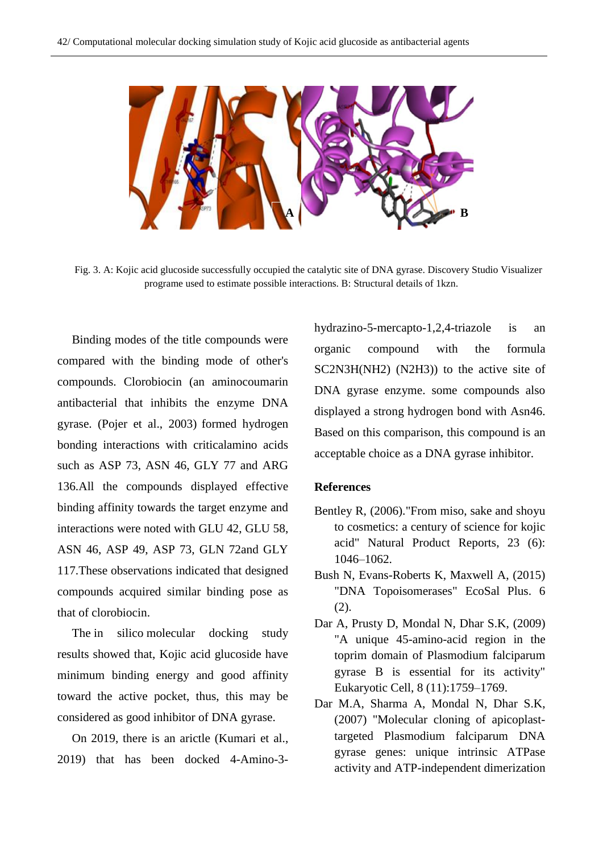**A B B** 

Fig. 3. A: Kojic acid glucoside successfully occupied the catalytic site of DNA gyrase. Discovery Studio Visualizer programe used to estimate possible interactions. B: Structural details of 1kzn.

Binding modes of the title compounds were compared with the binding mode of other's compounds. Clorobiocin (an aminocoumarin antibacterial that inhibits the enzyme DNA gyrase. (Pojer et al., 2003) formed hydrogen bonding interactions with criticalamino acids such as ASP 73, ASN 46, GLY 77 and ARG 136.All the compounds displayed effective binding affinity towards the target enzyme and interactions were noted with GLU 42, GLU 58, ASN 46, ASP 49, ASP 73, GLN 72and GLY 117.These observations indicated that designed compounds acquired similar binding pose as that of clorobiocin.

The in silico molecular docking study results showed that, Kojic acid glucoside have minimum binding energy and good affinity toward the active pocket, thus, this may be considered as good inhibitor of DNA gyrase.

On 2019, there is an arictle (Kumari et al., 2019) that has been docked 4-Amino-3hydrazino-5-mercapto-1,2,4-triazole is an organic compound with the formula SC2N3H(NH2) (N2H3)) to the active site of DNA gyrase enzyme. some compounds also displayed a strong hydrogen bond with Asn46. Based on this comparison, this compound is an acceptable choice as a DNA gyrase inhibitor.

#### **References**

- Bentley R, (2006)."From miso, sake and shoyu to cosmetics: a century of science for kojic acid" Natural Product Reports, 23 (6): 1046–1062.
- Bush N, Evans-Roberts K, Maxwell A, (2015) "DNA Topoisomerases" EcoSal Plus. 6 (2).
- Dar A, Prusty D, Mondal N, Dhar S.K, (2009) "A unique 45-amino-acid region in the toprim domain of Plasmodium falciparum gyrase B is essential for its activity" Eukaryotic Cell, 8 (11):1759–1769.
- Dar M.A, Sharma A, Mondal N, Dhar S.K, (2007) "Molecular cloning of apicoplasttargeted Plasmodium falciparum DNA gyrase genes: unique intrinsic ATPase activity and ATP-independent dimerization